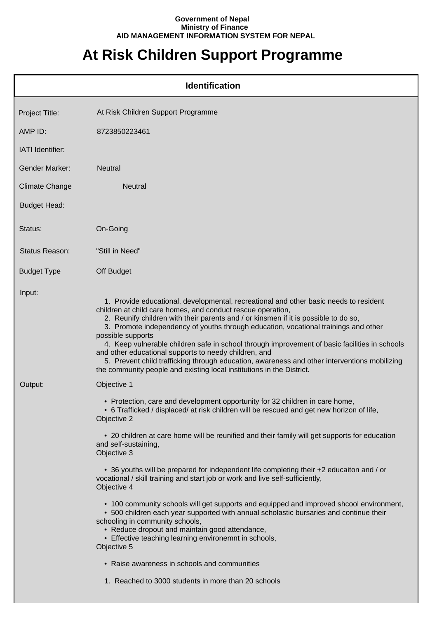## **Government of Nepal Ministry of Finance AID MANAGEMENT INFORMATION SYSTEM FOR NEPAL**

## **At Risk Children Support Programme**

|                       | <b>Identification</b>                                                                                                                                                                                                                                                                                                                                                                                                                                                                                                                                                                                                                                                                      |
|-----------------------|--------------------------------------------------------------------------------------------------------------------------------------------------------------------------------------------------------------------------------------------------------------------------------------------------------------------------------------------------------------------------------------------------------------------------------------------------------------------------------------------------------------------------------------------------------------------------------------------------------------------------------------------------------------------------------------------|
| Project Title:        | At Risk Children Support Programme                                                                                                                                                                                                                                                                                                                                                                                                                                                                                                                                                                                                                                                         |
| AMP ID:               | 8723850223461                                                                                                                                                                                                                                                                                                                                                                                                                                                                                                                                                                                                                                                                              |
| IATI Identifier:      |                                                                                                                                                                                                                                                                                                                                                                                                                                                                                                                                                                                                                                                                                            |
| Gender Marker:        | <b>Neutral</b>                                                                                                                                                                                                                                                                                                                                                                                                                                                                                                                                                                                                                                                                             |
| <b>Climate Change</b> | Neutral                                                                                                                                                                                                                                                                                                                                                                                                                                                                                                                                                                                                                                                                                    |
| <b>Budget Head:</b>   |                                                                                                                                                                                                                                                                                                                                                                                                                                                                                                                                                                                                                                                                                            |
| Status:               | On-Going                                                                                                                                                                                                                                                                                                                                                                                                                                                                                                                                                                                                                                                                                   |
| Status Reason:        | "Still in Need"                                                                                                                                                                                                                                                                                                                                                                                                                                                                                                                                                                                                                                                                            |
| <b>Budget Type</b>    | Off Budget                                                                                                                                                                                                                                                                                                                                                                                                                                                                                                                                                                                                                                                                                 |
| Input:                | 1. Provide educational, developmental, recreational and other basic needs to resident<br>children at child care homes, and conduct rescue operation,<br>2. Reunify children with their parents and / or kinsmen if it is possible to do so,<br>3. Promote independency of youths through education, vocational trainings and other<br>possible supports<br>4. Keep vulnerable children safe in school through improvement of basic facilities in schools<br>and other educational supports to needy children, and<br>5. Prevent child trafficking through education, awareness and other interventions mobilizing<br>the community people and existing local institutions in the District. |
| Output:               | Objective 1                                                                                                                                                                                                                                                                                                                                                                                                                                                                                                                                                                                                                                                                                |
|                       | • Protection, care and development opportunity for 32 children in care home,<br>• 6 Trafficked / displaced/ at risk children will be rescued and get new horizon of life,<br>Objective 2                                                                                                                                                                                                                                                                                                                                                                                                                                                                                                   |
|                       | • 20 children at care home will be reunified and their family will get supports for education<br>and self-sustaining,<br>Objective 3                                                                                                                                                                                                                                                                                                                                                                                                                                                                                                                                                       |
|                       | • 36 youths will be prepared for independent life completing their +2 educaiton and / or<br>vocational / skill training and start job or work and live self-sufficiently,<br>Objective 4                                                                                                                                                                                                                                                                                                                                                                                                                                                                                                   |
|                       | • 100 community schools will get supports and equipped and improved shcool environment,<br>• 500 children each year supported with annual scholastic bursaries and continue their<br>schooling in community schools,<br>• Reduce dropout and maintain good attendance,<br>• Effective teaching learning environemnt in schools,<br>Objective 5                                                                                                                                                                                                                                                                                                                                             |
|                       | • Raise awareness in schools and communities                                                                                                                                                                                                                                                                                                                                                                                                                                                                                                                                                                                                                                               |
|                       | 1. Reached to 3000 students in more than 20 schools                                                                                                                                                                                                                                                                                                                                                                                                                                                                                                                                                                                                                                        |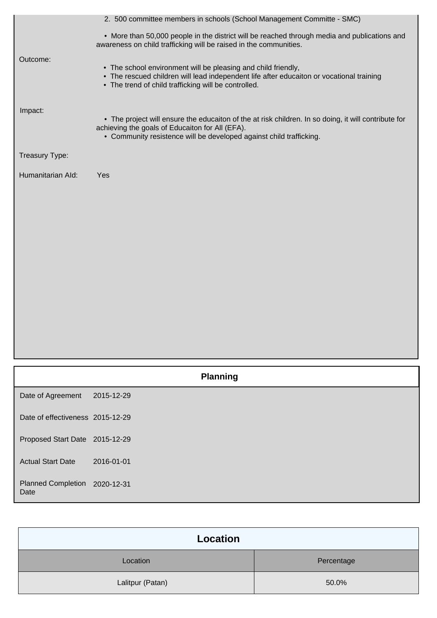|                   | 2. 500 committee members in schools (School Management Committe - SMC)                                                                                                                                                         |
|-------------------|--------------------------------------------------------------------------------------------------------------------------------------------------------------------------------------------------------------------------------|
|                   | • More than 50,000 people in the district will be reached through media and publications and<br>awareness on child trafficking will be raised in the communities.                                                              |
| Outcome:          | • The school environment will be pleasing and child friendly,<br>• The rescued children will lead independent life after educaiton or vocational training<br>• The trend of child trafficking will be controlled.              |
| Impact:           | • The project will ensure the educaiton of the at risk children. In so doing, it will contribute for<br>achieving the goals of Educaiton for All (EFA).<br>• Community resistence will be developed against child trafficking. |
| Treasury Type:    |                                                                                                                                                                                                                                |
| Humanitarian Ald: | Yes                                                                                                                                                                                                                            |
|                   |                                                                                                                                                                                                                                |
|                   |                                                                                                                                                                                                                                |
|                   |                                                                                                                                                                                                                                |
|                   |                                                                                                                                                                                                                                |
|                   |                                                                                                                                                                                                                                |
|                   |                                                                                                                                                                                                                                |
|                   |                                                                                                                                                                                                                                |

|                                       |            | <b>Planning</b> |
|---------------------------------------|------------|-----------------|
| Date of Agreement                     | 2015-12-29 |                 |
| Date of effectiveness 2015-12-29      |            |                 |
| Proposed Start Date 2015-12-29        |            |                 |
| <b>Actual Start Date</b>              | 2016-01-01 |                 |
| Planned Completion 2020-12-31<br>Date |            |                 |

| Location         |            |
|------------------|------------|
| Location         | Percentage |
| Lalitpur (Patan) | 50.0%      |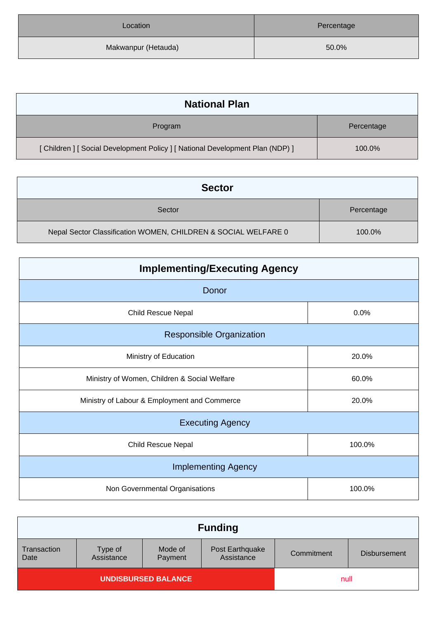| Location            | Percentage |
|---------------------|------------|
| Makwanpur (Hetauda) | 50.0%      |

| <b>National Plan</b>                                                           |            |
|--------------------------------------------------------------------------------|------------|
| Program                                                                        | Percentage |
| [ Children ] [ Social Development Policy ] [ National Development Plan (NDP) ] | 100.0%     |

| <b>Sector</b>                                                  |            |
|----------------------------------------------------------------|------------|
| Sector                                                         | Percentage |
| Nepal Sector Classification WOMEN, CHILDREN & SOCIAL WELFARE 0 | 100.0%     |

| <b>Implementing/Executing Agency</b>         |        |  |
|----------------------------------------------|--------|--|
| Donor                                        |        |  |
| <b>Child Rescue Nepal</b>                    | 0.0%   |  |
| <b>Responsible Organization</b>              |        |  |
| Ministry of Education                        | 20.0%  |  |
| Ministry of Women, Children & Social Welfare | 60.0%  |  |
| Ministry of Labour & Employment and Commerce | 20.0%  |  |
| <b>Executing Agency</b>                      |        |  |
| <b>Child Rescue Nepal</b>                    | 100.0% |  |
| <b>Implementing Agency</b>                   |        |  |
| Non Governmental Organisations               | 100.0% |  |

| <b>Funding</b>             |                       |                    |                               |            |                     |
|----------------------------|-----------------------|--------------------|-------------------------------|------------|---------------------|
| Transaction<br>Date        | Type of<br>Assistance | Mode of<br>Payment | Post Earthquake<br>Assistance | Commitment | <b>Disbursement</b> |
| <b>UNDISBURSED BALANCE</b> |                       |                    | null                          |            |                     |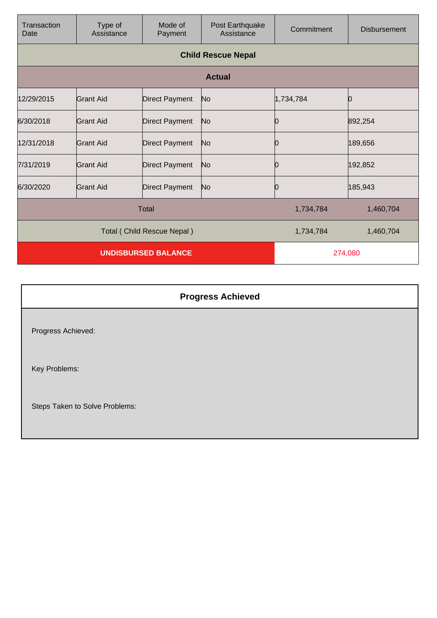| Transaction<br>Date          | Type of<br>Assistance | Mode of<br>Payment    | Post Earthquake<br>Assistance | Commitment | <b>Disbursement</b> |
|------------------------------|-----------------------|-----------------------|-------------------------------|------------|---------------------|
|                              |                       |                       | <b>Child Rescue Nepal</b>     |            |                     |
|                              |                       |                       | <b>Actual</b>                 |            |                     |
| 12/29/2015                   | Grant Aid             | <b>Direct Payment</b> | No                            | 1,734,784  |                     |
| 6/30/2018                    | Grant Aid             | <b>Direct Payment</b> | No                            | 0          | 892,254             |
| 12/31/2018                   | Grant Aid             | <b>Direct Payment</b> | No                            |            | 189,656             |
| 7/31/2019                    | Grant Aid             | <b>Direct Payment</b> | No                            |            | 192,852             |
| 6/30/2020                    | Grant Aid             | <b>Direct Payment</b> | No                            | 0          | 185,943             |
| <b>Total</b>                 |                       |                       |                               | 1,734,784  | 1,460,704           |
| Total ( Child Rescue Nepal ) |                       |                       |                               | 1,734,784  | 1,460,704           |
| <b>UNDISBURSED BALANCE</b>   |                       |                       | 274,080                       |            |                     |

| <b>Progress Achieved</b>       |  |
|--------------------------------|--|
| Progress Achieved:             |  |
| Key Problems:                  |  |
| Steps Taken to Solve Problems: |  |